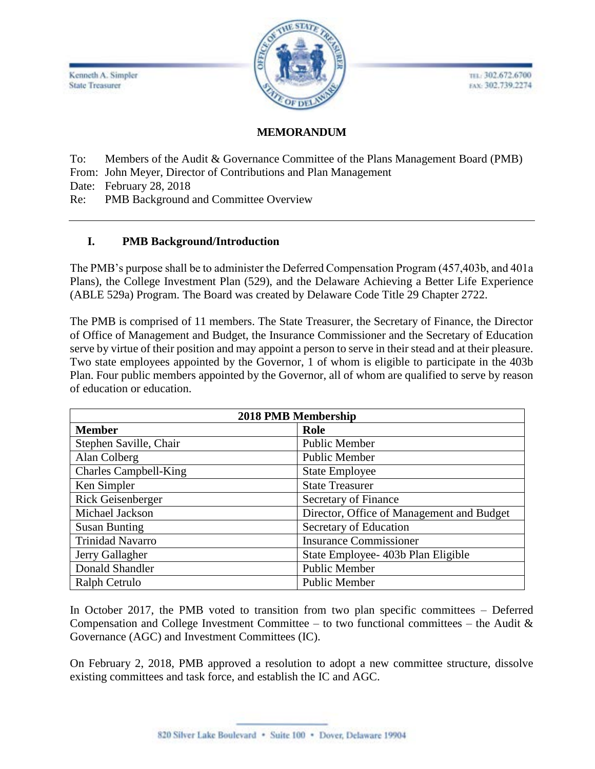

TEL: 302.672.6700 EAX: 302.739.2274

# **MEMORANDUM**

To: Members of the Audit & Governance Committee of the Plans Management Board (PMB)

From: John Meyer, Director of Contributions and Plan Management

Date: February 28, 2018

Re: PMB Background and Committee Overview

## **I. PMB Background/Introduction**

The PMB's purpose shall be to administer the Deferred Compensation Program (457,403b, and 401a Plans), the College Investment Plan (529), and the Delaware Achieving a Better Life Experience (ABLE 529a) Program. The Board was created by Delaware Code Title 29 Chapter 2722.

The PMB is comprised of 11 members. The State Treasurer, the Secretary of Finance, the Director of Office of Management and Budget, the Insurance Commissioner and the Secretary of Education serve by virtue of their position and may appoint a person to serve in their stead and at their pleasure. Two state employees appointed by the Governor, 1 of whom is eligible to participate in the 403b Plan. Four public members appointed by the Governor, all of whom are qualified to serve by reason of education or education.

| 2018 PMB Membership          |                                           |
|------------------------------|-------------------------------------------|
| <b>Member</b>                | Role                                      |
| Stephen Saville, Chair       | <b>Public Member</b>                      |
| Alan Colberg                 | <b>Public Member</b>                      |
| <b>Charles Campbell-King</b> | <b>State Employee</b>                     |
| Ken Simpler                  | <b>State Treasurer</b>                    |
| Rick Geisenberger            | Secretary of Finance                      |
| Michael Jackson              | Director, Office of Management and Budget |
| <b>Susan Bunting</b>         | Secretary of Education                    |
| <b>Trinidad Navarro</b>      | <b>Insurance Commissioner</b>             |
| Jerry Gallagher              | State Employee- 403b Plan Eligible        |
| Donald Shandler              | <b>Public Member</b>                      |
| Ralph Cetrulo                | <b>Public Member</b>                      |

In October 2017, the PMB voted to transition from two plan specific committees – Deferred Compensation and College Investment Committee – to two functional committees – the Audit  $\&$ Governance (AGC) and Investment Committees (IC).

On February 2, 2018, PMB approved a resolution to adopt a new committee structure, dissolve existing committees and task force, and establish the IC and AGC.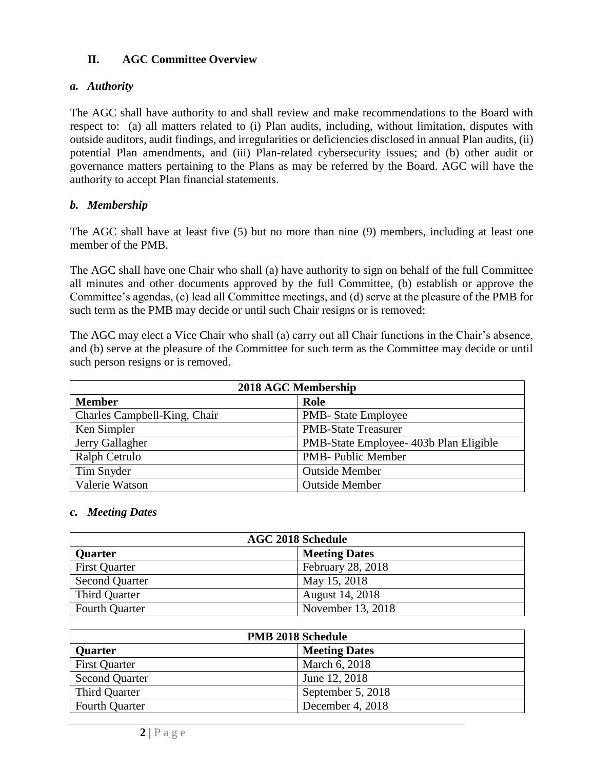## **II. AGC Committee Overview**

#### *a. Authority*

The AGC shall have authority to and shall review and make recommendations to the Board with respect to: (a) all matters related to (i) Plan audits, including, without limitation, disputes with outside auditors, audit findings, and irregularities or deficiencies disclosed in annual Plan audits, (ii) potential Plan amendments, and (iii) Plan-related cybersecurity issues; and (b) other audit or governance matters pertaining to the Plans as may be referred by the Board. AGC will have the authority to accept Plan financial statements.

## *b. Membership*

The AGC shall have at least five (5) but no more than nine (9) members, including at least one member of the PMB.

The AGC shall have one Chair who shall (a) have authority to sign on behalf of the full Committee all minutes and other documents approved by the full Committee, (b) establish or approve the Committee's agendas, (c) lead all Committee meetings, and (d) serve at the pleasure of the PMB for such term as the PMB may decide or until such Chair resigns or is removed;

The AGC may elect a Vice Chair who shall (a) carry out all Chair functions in the Chair's absence, and (b) serve at the pleasure of the Committee for such term as the Committee may decide or until such person resigns or is removed.

| 2018 AGC Membership          |                                        |
|------------------------------|----------------------------------------|
| <b>Member</b>                | Role                                   |
| Charles Campbell-King, Chair | <b>PMB-</b> State Employee             |
| Ken Simpler                  | <b>PMB-State Treasurer</b>             |
| Jerry Gallagher              | PMB-State Employee- 403b Plan Eligible |
| Ralph Cetrulo                | <b>PMB-</b> Public Member              |
| Tim Snyder                   | <b>Outside Member</b>                  |
| Valerie Watson               | <b>Outside Member</b>                  |

#### *c. Meeting Dates*

| <b>AGC 2018 Schedule</b> |                      |  |
|--------------------------|----------------------|--|
| <b>Quarter</b>           | <b>Meeting Dates</b> |  |
| <b>First Quarter</b>     | February 28, 2018    |  |
| <b>Second Quarter</b>    | May 15, 2018         |  |
| Third Quarter            | August 14, 2018      |  |
| <b>Fourth Quarter</b>    | November 13, 2018    |  |

| <b>PMB 2018 Schedule</b> |                      |
|--------------------------|----------------------|
| <b>Quarter</b>           | <b>Meeting Dates</b> |
| <b>First Quarter</b>     | March 6, 2018        |
| <b>Second Quarter</b>    | June 12, 2018        |
| Third Quarter            | September 5, 2018    |
| <b>Fourth Quarter</b>    | December 4, 2018     |